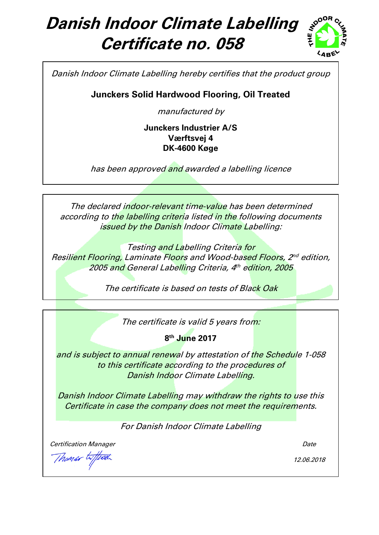# **Danish Indoor Climate Labelling Certificate no. 058**



Danish Indoor Climate Labelling hereby certifies that the product group

**Junckers Solid Hardwood Flooring, Oil Treated**

manufactured by

**Junckers Industrier A/S Værftsvej 4 DK-4600 Køge**

has been approved and awarded a labelling licence

The declared indoor-relevant time-value has been determined according to the labelling criteria listed in the following documents issued by the Danish Indoor Climate Labelling:

Testing and Labelling Criteria for Resilient Flooring, Laminate Floors and Wood-based Floors, 2nd edition, 2005 and General Labelling Criteria, 4th edition, 2005

The certificate is based on tests of Black Oak

The certificate is valid 5 years from:

**8 th June 2017**

and is subject to annual renewal by attestation of the Schedule 1-058 to this certificate according to the procedures of Danish Indoor Climate Labelling.

Danish Indoor Climate Labelling may withdraw the rights to use this Certificate in case the company does not meet the requirements.

For Danish Indoor Climate Labelling

**Certification Manager Controllering Controllering Controllering Controllering Controllering Controllering Controllering Controllering Controllering Controllering Controllering Controllering Controllering Controllering Con** 

Thomas WI

12.06.2018